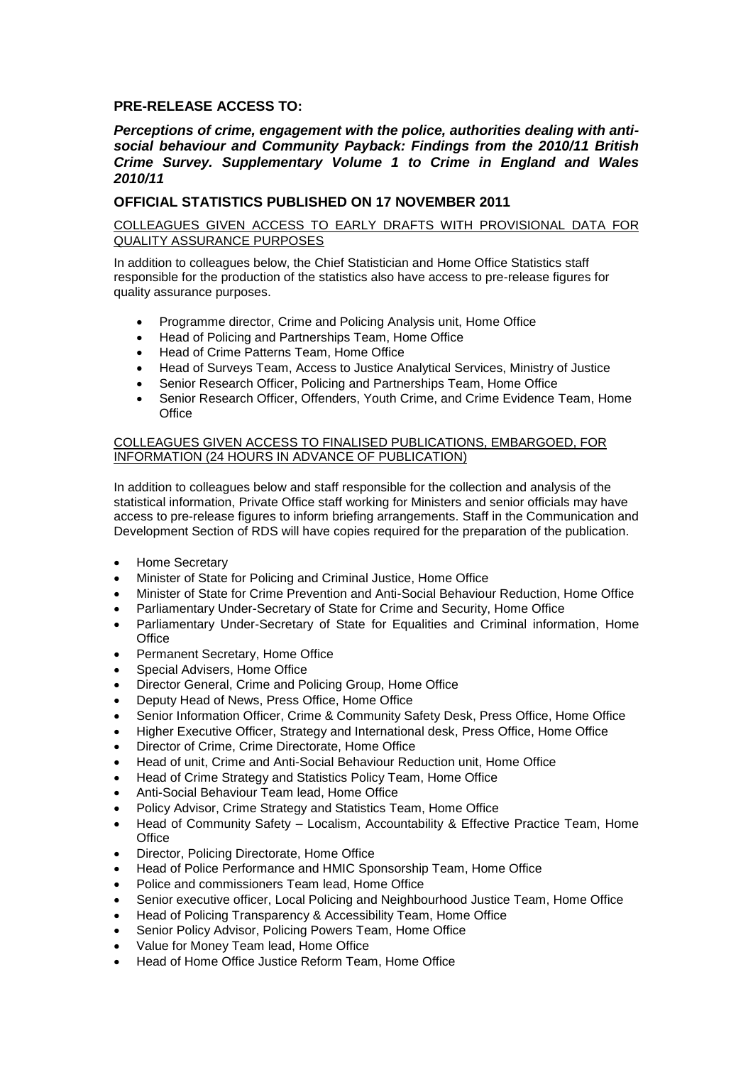# **PRE-RELEASE ACCESS TO:**

## *Perceptions of crime, engagement with the police, authorities dealing with antisocial behaviour and Community Payback: Findings from the 2010/11 British Crime Survey. Supplementary Volume 1 to Crime in England and Wales 2010/11*

## **OFFICIAL STATISTICS PUBLISHED ON 17 NOVEMBER 2011**

#### COLLEAGUES GIVEN ACCESS TO EARLY DRAFTS WITH PROVISIONAL DATA FOR QUALITY ASSURANCE PURPOSES

In addition to colleagues below, the Chief Statistician and Home Office Statistics staff responsible for the production of the statistics also have access to pre-release figures for quality assurance purposes.

- Programme director, Crime and Policing Analysis unit, Home Office
- Head of Policing and Partnerships Team, Home Office
- Head of Crime Patterns Team, Home Office
- Head of Surveys Team, Access to Justice Analytical Services, Ministry of Justice
- Senior Research Officer, Policing and Partnerships Team, Home Office
- Senior Research Officer, Offenders, Youth Crime, and Crime Evidence Team, Home **Office**

#### COLLEAGUES GIVEN ACCESS TO FINALISED PUBLICATIONS, EMBARGOED, FOR INFORMATION (24 HOURS IN ADVANCE OF PUBLICATION)

In addition to colleagues below and staff responsible for the collection and analysis of the statistical information, Private Office staff working for Ministers and senior officials may have access to pre-release figures to inform briefing arrangements. Staff in the Communication and Development Section of RDS will have copies required for the preparation of the publication.

- Home Secretary
- Minister of State for Policing and Criminal Justice, Home Office
- Minister of State for Crime Prevention and Anti-Social Behaviour Reduction, Home Office
- Parliamentary Under-Secretary of State for Crime and Security, Home Office
- Parliamentary Under-Secretary of State for Equalities and Criminal information, Home **Office**
- Permanent Secretary, Home Office
- Special Advisers, Home Office
- Director General, Crime and Policing Group, Home Office
- Deputy Head of News, Press Office, Home Office
- Senior Information Officer, Crime & Community Safety Desk, Press Office, Home Office
- Higher Executive Officer, Strategy and International desk, Press Office, Home Office
- Director of Crime, Crime Directorate, Home Office
- Head of unit, Crime and Anti-Social Behaviour Reduction unit, Home Office
- Head of Crime Strategy and Statistics Policy Team, Home Office
- Anti-Social Behaviour Team lead, Home Office
- Policy Advisor, Crime Strategy and Statistics Team, Home Office
- Head of Community Safety Localism, Accountability & Effective Practice Team. Home **Office**
- Director, Policing Directorate, Home Office
- Head of Police Performance and HMIC Sponsorship Team, Home Office
- Police and commissioners Team lead, Home Office
- Senior executive officer, Local Policing and Neighbourhood Justice Team, Home Office
- Head of Policing Transparency & Accessibility Team, Home Office
- Senior Policy Advisor, Policing Powers Team, Home Office
- Value for Money Team lead, Home Office
- Head of Home Office Justice Reform Team, Home Office